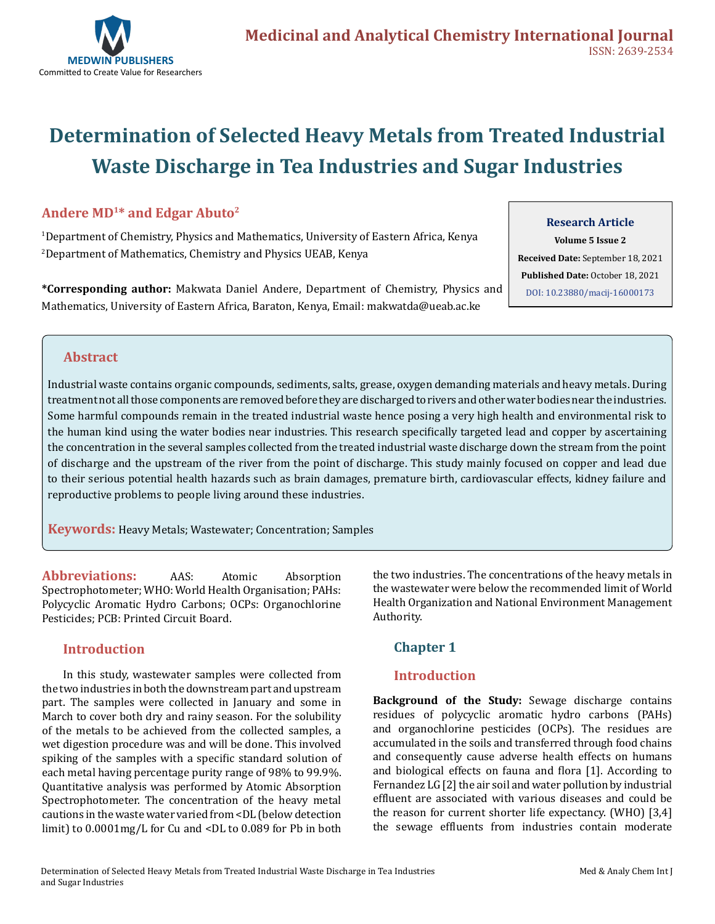

# **Determination of Selected Heavy Metals from Treated Industrial Waste Discharge in Tea Industries and Sugar Industries**

# **Andere MD1\* and Edgar Abuto2**

1 Department of Chemistry, Physics and Mathematics, University of Eastern Africa, Kenya 2 Department of Mathematics, Chemistry and Physics UEAB, Kenya

**\*Corresponding author:** Makwata Daniel Andere, Department of Chemistry, Physics and Mathematics, University of Eastern Africa, Baraton, Kenya, Email: makwatda@ueab.ac.ke

#### **Research Article**

**Volume 5 Issue 2 Received Date:** September 18, 2021 **Published Date:** October 18, 2021 [DOI: 10.23880/macij-16000173](https://doi.org/10.23880/macij-16000173)

# **Abstract**

Industrial waste contains organic compounds, sediments, salts, grease, oxygen demanding materials and heavy metals. During treatment not all those components are removed before they are discharged to rivers and other water bodies near the industries. Some harmful compounds remain in the treated industrial waste hence posing a very high health and environmental risk to the human kind using the water bodies near industries. This research specifically targeted lead and copper by ascertaining the concentration in the several samples collected from the treated industrial waste discharge down the stream from the point of discharge and the upstream of the river from the point of discharge. This study mainly focused on copper and lead due to their serious potential health hazards such as brain damages, premature birth, cardiovascular effects, kidney failure and reproductive problems to people living around these industries.

**Keywords:** Heavy Metals; Wastewater; Concentration; Samples

**Abbreviations:** AAS: Atomic Absorption Spectrophotometer; WHO: World Health Organisation; PAHs: Polycyclic Aromatic Hydro Carbons; OCPs: Organochlorine Pesticides; PCB: Printed Circuit Board.

# **Introduction**

In this study, wastewater samples were collected from the two industries in both the downstream part and upstream part. The samples were collected in January and some in March to cover both dry and rainy season. For the solubility of the metals to be achieved from the collected samples, a wet digestion procedure was and will be done. This involved spiking of the samples with a specific standard solution of each metal having percentage purity range of 98% to 99.9%. Quantitative analysis was performed by Atomic Absorption Spectrophotometer. The concentration of the heavy metal cautions in the waste water varied from <DL (below detection limit) to 0.0001mg/L for Cu and <DL to 0.089 for Pb in both

the two industries. The concentrations of the heavy metals in the wastewater were below the recommended limit of World Health Organization and National Environment Management Authority.

# **Chapter 1**

# **Introduction**

**Background of the Study:** Sewage discharge contains residues of polycyclic aromatic hydro carbons (PAHs) and organochlorine pesticides (OCPs). The residues are accumulated in the soils and transferred through food chains and consequently cause adverse health effects on humans and biological effects on fauna and flora [1]. According to Fernandez LG [2] the air soil and water pollution by industrial effluent are associated with various diseases and could be the reason for current shorter life expectancy. (WHO) [3,4] the sewage effluents from industries contain moderate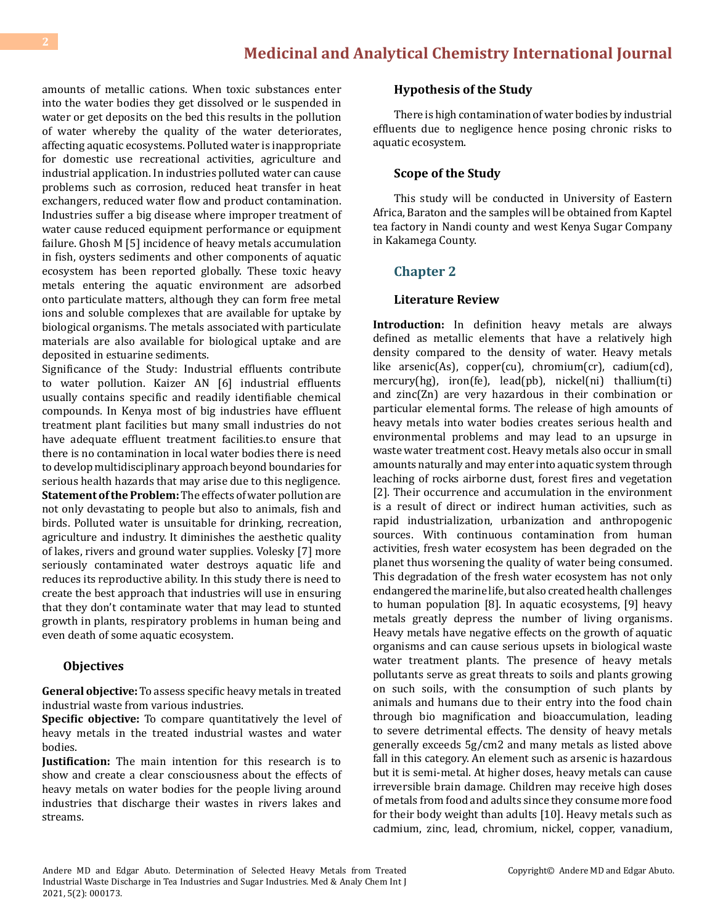amounts of metallic cations. When toxic substances enter into the water bodies they get dissolved or le suspended in water or get deposits on the bed this results in the pollution of water whereby the quality of the water deteriorates, affecting aquatic ecosystems. Polluted water is inappropriate for domestic use recreational activities, agriculture and industrial application. In industries polluted water can cause problems such as corrosion, reduced heat transfer in heat exchangers, reduced water flow and product contamination. Industries suffer a big disease where improper treatment of water cause reduced equipment performance or equipment failure. Ghosh M [5] incidence of heavy metals accumulation in fish, oysters sediments and other components of aquatic ecosystem has been reported globally. These toxic heavy metals entering the aquatic environment are adsorbed onto particulate matters, although they can form free metal ions and soluble complexes that are available for uptake by biological organisms. The metals associated with particulate materials are also available for biological uptake and are deposited in estuarine sediments.

Significance of the Study: Industrial effluents contribute to water pollution. Kaizer AN [6] industrial effluents usually contains specific and readily identifiable chemical compounds. In Kenya most of big industries have effluent treatment plant facilities but many small industries do not have adequate effluent treatment facilities.to ensure that there is no contamination in local water bodies there is need to develop multidisciplinary approach beyond boundaries for serious health hazards that may arise due to this negligence. **Statement of the Problem:** The effects of water pollution are not only devastating to people but also to animals, fish and birds. Polluted water is unsuitable for drinking, recreation, agriculture and industry. It diminishes the aesthetic quality of lakes, rivers and ground water supplies. Volesky [7] more seriously contaminated water destroys aquatic life and reduces its reproductive ability. In this study there is need to create the best approach that industries will use in ensuring that they don't contaminate water that may lead to stunted growth in plants, respiratory problems in human being and even death of some aquatic ecosystem.

#### **Objectives**

**General objective:** To assess specific heavy metals in treated industrial waste from various industries.

**Specific objective:** To compare quantitatively the level of heavy metals in the treated industrial wastes and water bodies.

**Justification:** The main intention for this research is to show and create a clear consciousness about the effects of heavy metals on water bodies for the people living around industries that discharge their wastes in rivers lakes and streams.

#### **Hypothesis of the Study**

There is high contamination of water bodies by industrial effluents due to negligence hence posing chronic risks to aquatic ecosystem.

#### **Scope of the Study**

This study will be conducted in University of Eastern Africa, Baraton and the samples will be obtained from Kaptel tea factory in Nandi county and west Kenya Sugar Company in Kakamega County.

## **Chapter 2**

#### **Literature Review**

**Introduction:** In definition heavy metals are always defined as metallic elements that have a relatively high density compared to the density of water. Heavy metals like arsenic(As), copper(cu), chromium(cr), cadium(cd), mercury(hg), iron(fe), lead(pb), nickel(ni) thallium(ti) and zinc(Zn) are very hazardous in their combination or particular elemental forms. The release of high amounts of heavy metals into water bodies creates serious health and environmental problems and may lead to an upsurge in waste water treatment cost. Heavy metals also occur in small amounts naturally and may enter into aquatic system through leaching of rocks airborne dust, forest fires and vegetation [2]. Their occurrence and accumulation in the environment is a result of direct or indirect human activities, such as rapid industrialization, urbanization and anthropogenic sources. With continuous contamination from human activities, fresh water ecosystem has been degraded on the planet thus worsening the quality of water being consumed. This degradation of the fresh water ecosystem has not only endangered the marine life, but also created health challenges to human population [8]. In aquatic ecosystems, [9] heavy metals greatly depress the number of living organisms. Heavy metals have negative effects on the growth of aquatic organisms and can cause serious upsets in biological waste water treatment plants. The presence of heavy metals pollutants serve as great threats to soils and plants growing on such soils, with the consumption of such plants by animals and humans due to their entry into the food chain through bio magnification and bioaccumulation, leading to severe detrimental effects. The density of heavy metals generally exceeds 5g/cm2 and many metals as listed above fall in this category. An element such as arsenic is hazardous but it is semi-metal. At higher doses, heavy metals can cause irreversible brain damage. Children may receive high doses of metals from food and adults since they consume more food for their body weight than adults [10]. Heavy metals such as cadmium, zinc, lead, chromium, nickel, copper, vanadium,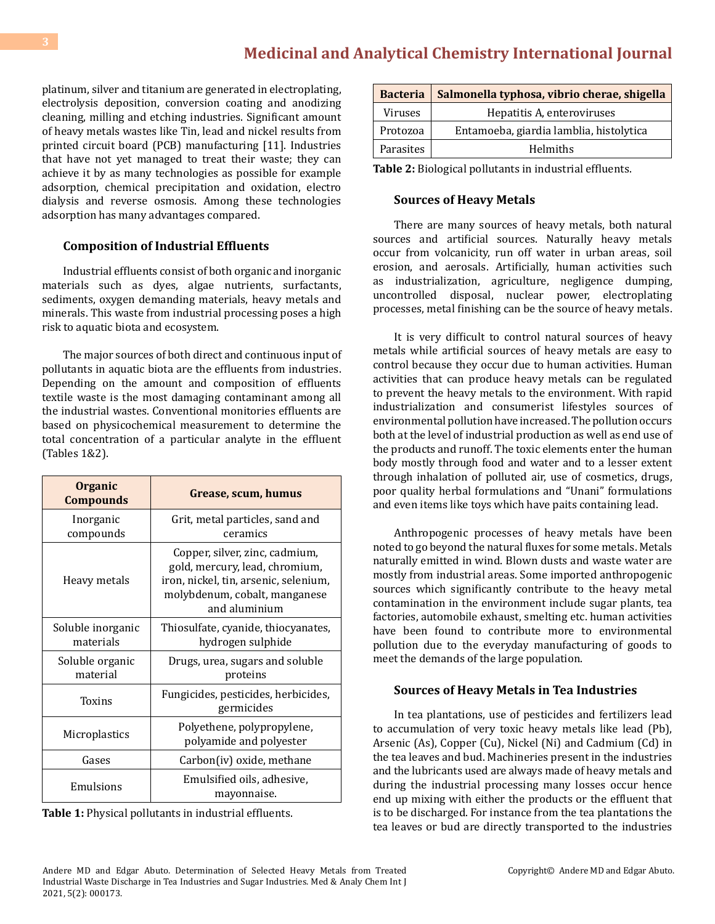platinum, silver and titanium are generated in electroplating, electrolysis deposition, conversion coating and anodizing cleaning, milling and etching industries. Significant amount of heavy metals wastes like Tin, lead and nickel results from printed circuit board (PCB) manufacturing [11]. Industries that have not yet managed to treat their waste; they can achieve it by as many technologies as possible for example adsorption, chemical precipitation and oxidation, electro dialysis and reverse osmosis. Among these technologies adsorption has many advantages compared.

# **Composition of Industrial Effluents**

Industrial effluents consist of both organic and inorganic materials such as dyes, algae nutrients, surfactants, sediments, oxygen demanding materials, heavy metals and minerals. This waste from industrial processing poses a high risk to aquatic biota and ecosystem.

The major sources of both direct and continuous input of pollutants in aquatic biota are the effluents from industries. Depending on the amount and composition of effluents textile waste is the most damaging contaminant among all the industrial wastes. Conventional monitories effluents are based on physicochemical measurement to determine the total concentration of a particular analyte in the effluent (Tables 1&2).

| <b>Organic</b><br><b>Compounds</b> | Grease, scum, humus                                                                                                                                         |
|------------------------------------|-------------------------------------------------------------------------------------------------------------------------------------------------------------|
| Inorganic<br>compounds             | Grit, metal particles, sand and<br>ceramics                                                                                                                 |
| Heavy metals                       | Copper, silver, zinc, cadmium,<br>gold, mercury, lead, chromium,<br>iron, nickel, tin, arsenic, selenium,<br>molybdenum, cobalt, manganese<br>and aluminium |
| Soluble inorganic<br>materials     | Thiosulfate, cyanide, thiocyanates,<br>hydrogen sulphide                                                                                                    |
| Soluble organic<br>material        | Drugs, urea, sugars and soluble<br>proteins                                                                                                                 |
| <b>Toxins</b>                      | Fungicides, pesticides, herbicides,<br>germicides                                                                                                           |
| Microplastics                      | Polyethene, polypropylene,<br>polyamide and polyester                                                                                                       |
| Gases                              | Carbon(iv) oxide, methane                                                                                                                                   |
| Emulsions                          | Emulsified oils, adhesive,<br>mayonnaise.                                                                                                                   |

**Table 1:** Physical pollutants in industrial effluents.

| <b>Bacteria</b> | Salmonella typhosa, vibrio cherae, shigella |  |
|-----------------|---------------------------------------------|--|
| Viruses         | Hepatitis A, enteroviruses                  |  |
| Protozoa        | Entamoeba, giardia lamblia, histolytica     |  |
| Parasites       | Helmiths                                    |  |

**Table 2:** Biological pollutants in industrial effluents.

# **Sources of Heavy Metals**

There are many sources of heavy metals, both natural sources and artificial sources. Naturally heavy metals occur from volcanicity, run off water in urban areas, soil erosion, and aerosals. Artificially, human activities such as industrialization, agriculture, negligence dumping, uncontrolled disposal, nuclear power, electroplating processes, metal finishing can be the source of heavy metals.

It is very difficult to control natural sources of heavy metals while artificial sources of heavy metals are easy to control because they occur due to human activities. Human activities that can produce heavy metals can be regulated to prevent the heavy metals to the environment. With rapid industrialization and consumerist lifestyles sources of environmental pollution have increased. The pollution occurs both at the level of industrial production as well as end use of the products and runoff. The toxic elements enter the human body mostly through food and water and to a lesser extent through inhalation of polluted air, use of cosmetics, drugs, poor quality herbal formulations and "Unani" formulations and even items like toys which have paits containing lead.

Anthropogenic processes of heavy metals have been noted to go beyond the natural fluxes for some metals. Metals naturally emitted in wind. Blown dusts and waste water are mostly from industrial areas. Some imported anthropogenic sources which significantly contribute to the heavy metal contamination in the environment include sugar plants, tea factories, automobile exhaust, smelting etc. human activities have been found to contribute more to environmental pollution due to the everyday manufacturing of goods to meet the demands of the large population.

# **Sources of Heavy Metals in Tea Industries**

In tea plantations, use of pesticides and fertilizers lead to accumulation of very toxic heavy metals like lead (Pb), Arsenic (As), Copper (Cu), Nickel (Ni) and Cadmium (Cd) in the tea leaves and bud. Machineries present in the industries and the lubricants used are always made of heavy metals and during the industrial processing many losses occur hence end up mixing with either the products or the effluent that is to be discharged. For instance from the tea plantations the tea leaves or bud are directly transported to the industries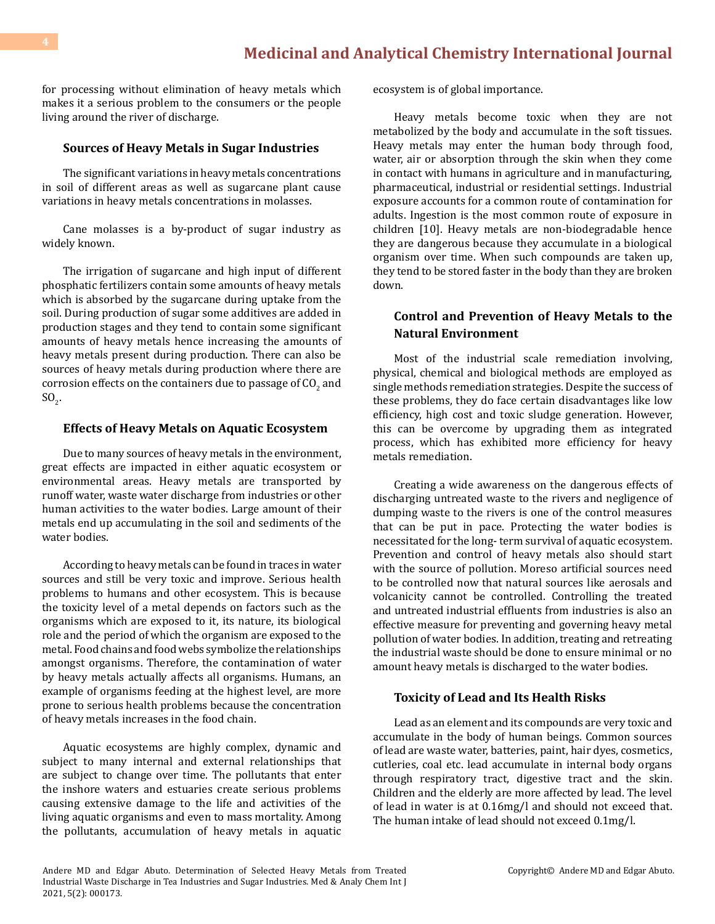for processing without elimination of heavy metals which makes it a serious problem to the consumers or the people living around the river of discharge.

#### **Sources of Heavy Metals in Sugar Industries**

The significant variations in heavy metals concentrations in soil of different areas as well as sugarcane plant cause variations in heavy metals concentrations in molasses.

Cane molasses is a by-product of sugar industry as widely known.

The irrigation of sugarcane and high input of different phosphatic fertilizers contain some amounts of heavy metals which is absorbed by the sugarcane during uptake from the soil. During production of sugar some additives are added in production stages and they tend to contain some significant amounts of heavy metals hence increasing the amounts of heavy metals present during production. There can also be sources of heavy metals during production where there are corrosion effects on the containers due to passage of  $\mathrm{CO}_2$  and  $SO_2$ .

#### **Effects of Heavy Metals on Aquatic Ecosystem**

Due to many sources of heavy metals in the environment, great effects are impacted in either aquatic ecosystem or environmental areas. Heavy metals are transported by runoff water, waste water discharge from industries or other human activities to the water bodies. Large amount of their metals end up accumulating in the soil and sediments of the water bodies.

According to heavy metals can be found in traces in water sources and still be very toxic and improve. Serious health problems to humans and other ecosystem. This is because the toxicity level of a metal depends on factors such as the organisms which are exposed to it, its nature, its biological role and the period of which the organism are exposed to the metal. Food chains and food webs symbolize the relationships amongst organisms. Therefore, the contamination of water by heavy metals actually affects all organisms. Humans, an example of organisms feeding at the highest level, are more prone to serious health problems because the concentration of heavy metals increases in the food chain.

Aquatic ecosystems are highly complex, dynamic and subject to many internal and external relationships that are subject to change over time. The pollutants that enter the inshore waters and estuaries create serious problems causing extensive damage to the life and activities of the living aquatic organisms and even to mass mortality. Among the pollutants, accumulation of heavy metals in aquatic ecosystem is of global importance.

Heavy metals become toxic when they are not metabolized by the body and accumulate in the soft tissues. Heavy metals may enter the human body through food, water, air or absorption through the skin when they come in contact with humans in agriculture and in manufacturing, pharmaceutical, industrial or residential settings. Industrial exposure accounts for a common route of contamination for adults. Ingestion is the most common route of exposure in children [10]. Heavy metals are non-biodegradable hence they are dangerous because they accumulate in a biological organism over time. When such compounds are taken up, they tend to be stored faster in the body than they are broken down.

# **Control and Prevention of Heavy Metals to the Natural Environment**

Most of the industrial scale remediation involving, physical, chemical and biological methods are employed as single methods remediation strategies. Despite the success of these problems, they do face certain disadvantages like low efficiency, high cost and toxic sludge generation. However, this can be overcome by upgrading them as integrated process, which has exhibited more efficiency for heavy metals remediation.

Creating a wide awareness on the dangerous effects of discharging untreated waste to the rivers and negligence of dumping waste to the rivers is one of the control measures that can be put in pace. Protecting the water bodies is necessitated for the long- term survival of aquatic ecosystem. Prevention and control of heavy metals also should start with the source of pollution. Moreso artificial sources need to be controlled now that natural sources like aerosals and volcanicity cannot be controlled. Controlling the treated and untreated industrial effluents from industries is also an effective measure for preventing and governing heavy metal pollution of water bodies. In addition, treating and retreating the industrial waste should be done to ensure minimal or no amount heavy metals is discharged to the water bodies.

#### **Toxicity of Lead and Its Health Risks**

Lead as an element and its compounds are very toxic and accumulate in the body of human beings. Common sources of lead are waste water, batteries, paint, hair dyes, cosmetics, cutleries, coal etc. lead accumulate in internal body organs through respiratory tract, digestive tract and the skin. Children and the elderly are more affected by lead. The level of lead in water is at 0.16mg/l and should not exceed that. The human intake of lead should not exceed 0.1mg/l.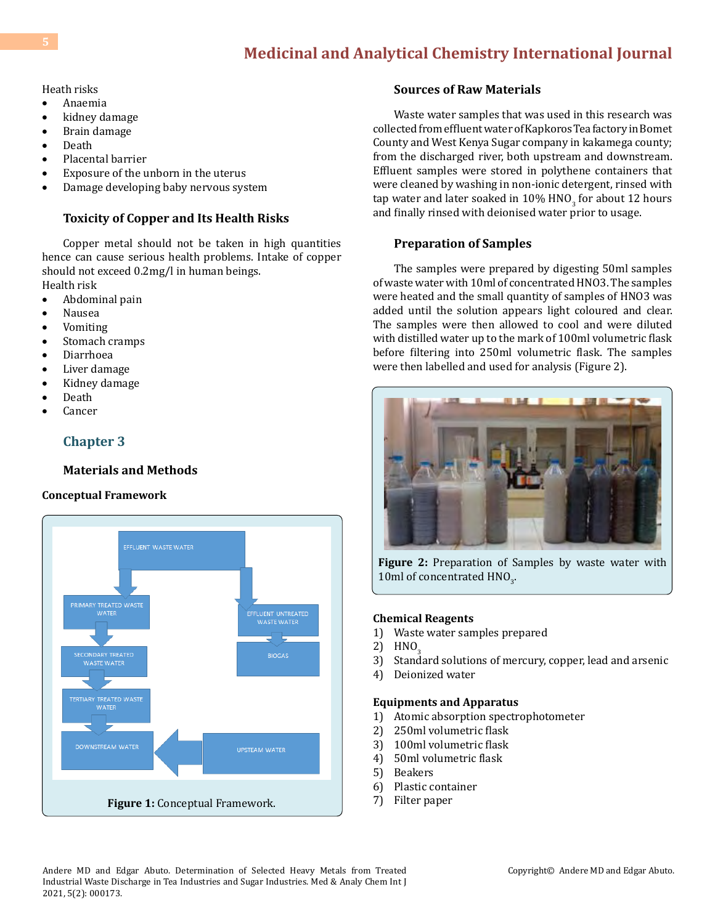Heath risks

- • Anaemia
- kidney damage
- Brain damage
- Death<br>• Placen
- Placental barrier
- Exposure of the unborn in the uterus
- Damage developing baby nervous system

# **Toxicity of Copper and Its Health Risks**

Copper metal should not be taken in high quantities hence can cause serious health problems. Intake of copper should not exceed 0.2mg/l in human beings.

- Health risk
- Abdominal pain
- Nausea<br>• Vomitin **Vomiting**
- Stomach cramps
- • Diarrhoea
- Liver damage
- Kidney damage
- Death
- **Cancer**

# **Chapter 3**

# **Materials and Methods**

# **Conceptual Framework**



# **Sources of Raw Materials**

Waste water samples that was used in this research was collected from effluent water of Kapkoros Tea factory in Bomet County and West Kenya Sugar company in kakamega county; from the discharged river, both upstream and downstream. Effluent samples were stored in polythene containers that were cleaned by washing in non-ionic detergent, rinsed with tap water and later soaked in  $10\%$  HNO<sub>3</sub> for about 12 hours and finally rinsed with deionised water prior to usage.

# **Preparation of Samples**

The samples were prepared by digesting 50ml samples of waste water with 10ml of concentrated HNO3. The samples were heated and the small quantity of samples of HNO3 was added until the solution appears light coloured and clear. The samples were then allowed to cool and were diluted with distilled water up to the mark of 100ml volumetric flask before filtering into 250ml volumetric flask. The samples were then labelled and used for analysis (Figure 2).



**Figure 2:** Preparation of Samples by waste water with 10ml of concentrated  $HNO<sub>3</sub>$ .

#### **Chemical Reagents**

- 1) Waste water samples prepared
- 2)  $HNO<sub>3</sub>$ <br>3) Stand
- Standard solutions of mercury, copper, lead and arsenic
- 4) Deionized water

#### **Equipments and Apparatus**

- 1) Atomic absorption spectrophotometer
- 2) 250ml volumetric flask
- 3) 100ml volumetric flask
- 4) 50ml volumetric flask
- 5) Beakers
- 6) Plastic container
- 7) Filter paper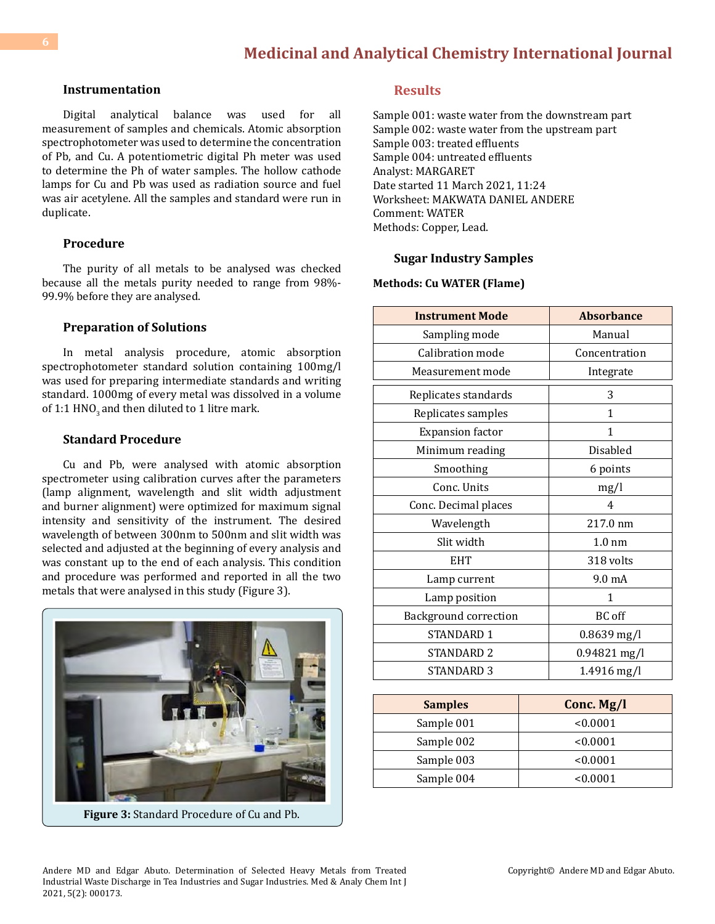#### **Instrumentation**

Digital analytical balance was used for all measurement of samples and chemicals. Atomic absorption spectrophotometer was used to determine the concentration of Pb, and Cu. A potentiometric digital Ph meter was used to determine the Ph of water samples. The hollow cathode lamps for Cu and Pb was used as radiation source and fuel was air acetylene. All the samples and standard were run in duplicate.

#### **Procedure**

The purity of all metals to be analysed was checked because all the metals purity needed to range from 98%- 99.9% before they are analysed.

#### **Preparation of Solutions**

In metal analysis procedure, atomic absorption spectrophotometer standard solution containing 100mg/l was used for preparing intermediate standards and writing standard. 1000mg of every metal was dissolved in a volume of 1:1 HNO<sub>2</sub> and then diluted to 1 litre mark.

#### **Standard Procedure**

Cu and Pb, were analysed with atomic absorption spectrometer using calibration curves after the parameters (lamp alignment, wavelength and slit width adjustment and burner alignment) were optimized for maximum signal intensity and sensitivity of the instrument. The desired wavelength of between 300nm to 500nm and slit width was selected and adjusted at the beginning of every analysis and was constant up to the end of each analysis. This condition and procedure was performed and reported in all the two metals that were analysed in this study (Figure 3).



**Figure 3:** Standard Procedure of Cu and Pb.

## **Results**

Sample 001: waste water from the downstream part Sample 002: waste water from the upstream part Sample 003: treated effluents Sample 004: untreated effluents Analyst: MARGARET Date started 11 March 2021, 11:24 Worksheet: MAKWATA DANIEL ANDERE Comment: WATER Methods: Copper, Lead.

#### **Sugar Industry Samples**

#### **Methods: Cu WATER (Flame)**

| <b>Instrument Mode</b>       | <b>Absorbance</b> |
|------------------------------|-------------------|
| Sampling mode                | Manual            |
| Calibration mode             | Concentration     |
| Measurement mode             | Integrate         |
| Replicates standards         | 3                 |
| Replicates samples           | 1                 |
| <b>Expansion factor</b>      | $\mathbf{1}$      |
| Minimum reading              | Disabled          |
| Smoothing                    | 6 points          |
| Conc. Units                  | mg/l              |
| Conc. Decimal places         | 4                 |
| Wavelength                   | 217.0 nm          |
| Slit width                   | $1.0 \text{ nm}$  |
| <b>EHT</b>                   | 318 volts         |
| Lamp current                 | 9.0 mA            |
| Lamp position                | 1                 |
| <b>Background correction</b> | BC off            |
| STANDARD 1                   | 0.8639 mg/l       |
| STANDARD <sub>2</sub>        | 0.94821 mg/l      |
| STANDARD 3                   | 1.4916 mg/l       |

| <b>Samples</b> | Conc. Mg/l |
|----------------|------------|
| Sample 001     | < 0.0001   |
| Sample 002     | < 0.0001   |
| Sample 003     | < 0.0001   |
| Sample 004     | < 0.0001   |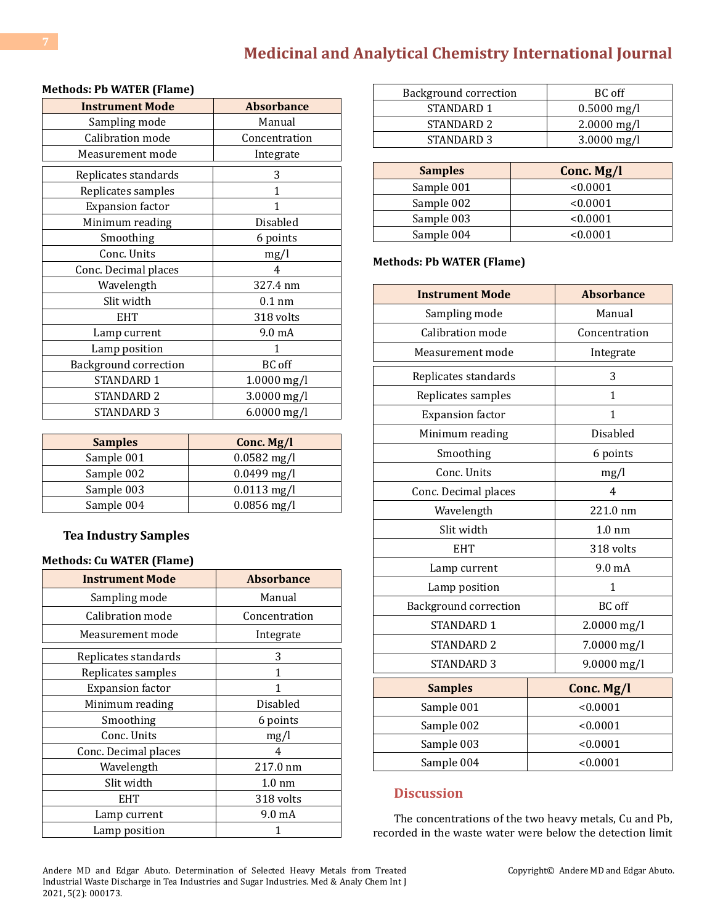# **[Medicinal and Analytical Chemistry International Journal](https://medwinpublishers.com/MACIJ/)**

| <b>Instrument Mode</b>       | <b>Absorbance</b> |
|------------------------------|-------------------|
| Sampling mode                | Manual            |
| Calibration mode             | Concentration     |
| Measurement mode             | Integrate         |
| Replicates standards         | 3                 |
| Replicates samples           | 1                 |
| <b>Expansion factor</b>      | 1                 |
| Minimum reading              | Disabled          |
| Smoothing                    | 6 points          |
| Conc. Units                  | mg/l              |
| Conc. Decimal places         | 4                 |
| Wavelength                   | 327.4 nm          |
| Slit width                   | $0.1$ nm          |
| <b>EHT</b>                   | 318 volts         |
| Lamp current                 | 9.0 mA            |
| Lamp position                | 1                 |
| <b>Background correction</b> | <b>BC</b> off     |
| STANDARD 1                   | $1.0000$ mg/l     |
| STANDARD <sub>2</sub>        | 3.0000 mg/l       |
| <b>STANDARD 3</b>            | $6.0000$ mg/l     |

| <b>Methods: Pb WATER (Flame)</b> |  |  |  |
|----------------------------------|--|--|--|
|----------------------------------|--|--|--|

| <b>Samples</b> | Conc. $Mg/l$             |
|----------------|--------------------------|
| Sample 001     | $0.0582$ mg/l            |
| Sample 002     | $0.0499 \,\mathrm{mg/l}$ |
| Sample 003     | $0.0113$ mg/l            |
| Sample 004     | $0.0856$ mg/l            |

# **Tea Industry Samples**

#### **Methods: Cu WATER (Flame)**

| <b>Instrument Mode</b>  | <b>Absorbance</b> |
|-------------------------|-------------------|
| Sampling mode           | Manual            |
| Calibration mode        | Concentration     |
| Measurement mode        | Integrate         |
| Replicates standards    | 3                 |
| Replicates samples      | 1                 |
| <b>Expansion</b> factor | 1                 |
| Minimum reading         | Disabled          |
| Smoothing               | 6 points          |
| Conc. Units             | mg/l              |
| Conc. Decimal places    | 4                 |
| Wavelength              | 217.0 nm          |
| Slit width              | $1.0 \text{ nm}$  |
| <b>EHT</b>              | 318 volts         |
| Lamp current            | 9.0 mA            |
| Lamp position           |                   |

| Background correction | BC off        |
|-----------------------|---------------|
| STANDARD 1            | $0.5000$ mg/l |
| STANDARD <sub>2</sub> | $2.0000$ mg/l |
| STANDARD <sub>3</sub> | $3.0000$ mg/l |
|                       |               |

| <b>Samples</b> | Conc. Mg/l |
|----------------|------------|
| Sample 001     | < 0.0001   |
| Sample 002     | < 0.0001   |
| Sample 003     | < 0.0001   |
| Sample 004     | <0.0001    |

#### **Methods: Pb WATER (Flame)**

| <b>Instrument Mode</b>       | <b>Absorbance</b> |
|------------------------------|-------------------|
| Sampling mode                | Manual            |
| Calibration mode             | Concentration     |
| Measurement mode             | Integrate         |
| Replicates standards         | 3                 |
| Replicates samples           | $\mathbf{1}$      |
| <b>Expansion</b> factor      | $\mathbf{1}$      |
| Minimum reading              | <b>Disabled</b>   |
| Smoothing                    | 6 points          |
| Conc. Units                  | mg/l              |
| Conc. Decimal places         | 4                 |
| Wavelength                   | 221.0 nm          |
| Slit width                   | $1.0 \text{ nm}$  |
| <b>EHT</b>                   | 318 volts         |
| Lamp current                 | 9.0 mA            |
| Lamp position                | 1                 |
| <b>Background correction</b> | <b>BC</b> off     |
| <b>STANDARD 1</b>            | 2.0000 mg/l       |
| STANDARD <sub>2</sub>        | 7.0000 mg/l       |
| <b>STANDARD 3</b>            | 9.0000 mg/l       |
| <b>Samples</b>               | Conc. Mg/l        |
| Sample 001                   | < 0.0001          |
| Sample 002                   | < 0.0001          |
| Sample 003                   | < 0.0001          |
| Sample 004                   | < 0.0001          |

# **Discussion**

The concentrations of the two heavy metals, Cu and Pb, recorded in the waste water were below the detection limit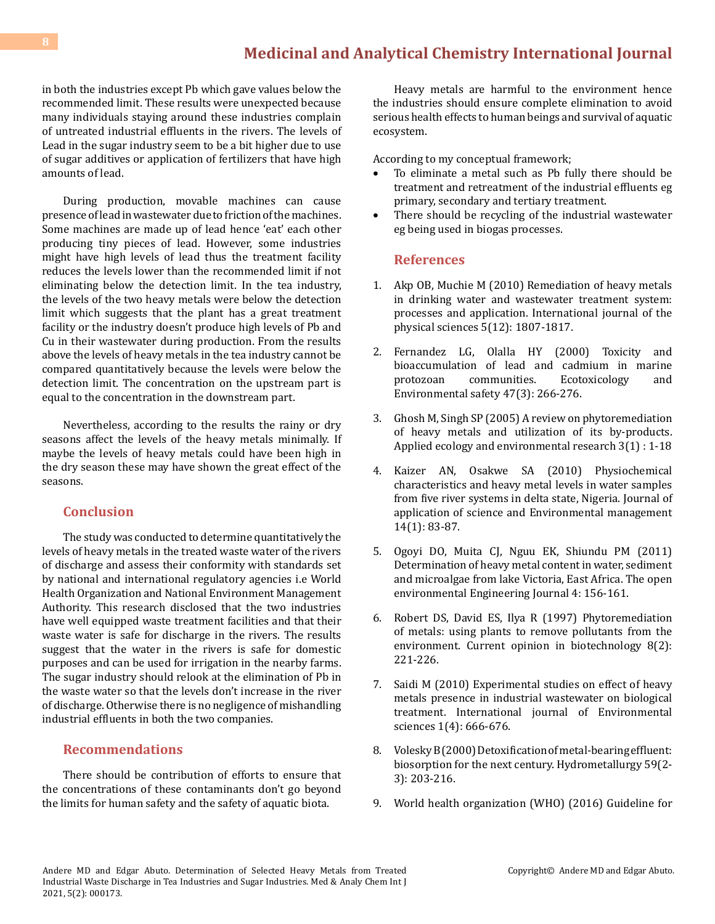# **[Medicinal and Analytical Chemistry International Journal](https://medwinpublishers.com/MACIJ/)**

in both the industries except Pb which gave values below the recommended limit. These results were unexpected because many individuals staying around these industries complain of untreated industrial effluents in the rivers. The levels of Lead in the sugar industry seem to be a bit higher due to use of sugar additives or application of fertilizers that have high amounts of lead.

During production, movable machines can cause presence of lead in wastewater due to friction of the machines. Some machines are made up of lead hence 'eat' each other producing tiny pieces of lead. However, some industries might have high levels of lead thus the treatment facility reduces the levels lower than the recommended limit if not eliminating below the detection limit. In the tea industry, the levels of the two heavy metals were below the detection limit which suggests that the plant has a great treatment facility or the industry doesn't produce high levels of Pb and Cu in their wastewater during production. From the results above the levels of heavy metals in the tea industry cannot be compared quantitatively because the levels were below the detection limit. The concentration on the upstream part is equal to the concentration in the downstream part.

Nevertheless, according to the results the rainy or dry seasons affect the levels of the heavy metals minimally. If maybe the levels of heavy metals could have been high in the dry season these may have shown the great effect of the seasons.

## **Conclusion**

The study was conducted to determine quantitatively the levels of heavy metals in the treated waste water of the rivers of discharge and assess their conformity with standards set by national and international regulatory agencies i.e World Health Organization and National Environment Management Authority. This research disclosed that the two industries have well equipped waste treatment facilities and that their waste water is safe for discharge in the rivers. The results suggest that the water in the rivers is safe for domestic purposes and can be used for irrigation in the nearby farms. The sugar industry should relook at the elimination of Pb in the waste water so that the levels don't increase in the river of discharge. Otherwise there is no negligence of mishandling industrial effluents in both the two companies.

# **Recommendations**

There should be contribution of efforts to ensure that the concentrations of these contaminants don't go beyond the limits for human safety and the safety of aquatic biota.

Heavy metals are harmful to the environment hence the industries should ensure complete elimination to avoid serious health effects to human beings and survival of aquatic ecosystem.

According to my conceptual framework;

- To eliminate a metal such as Pb fully there should be treatment and retreatment of the industrial effluents eg primary, secondary and tertiary treatment.
- There should be recycling of the industrial wastewater eg being used in biogas processes.

#### **References**

- 1. [Akp OB, Muchie M \(2010\) Remediation of heavy metals](https://academicjournals.org/journal/IJPS/article-abstract/00E529A31916)  [in drinking water and wastewater treatment system:](https://academicjournals.org/journal/IJPS/article-abstract/00E529A31916)  [processes and application. International journal of the](https://academicjournals.org/journal/IJPS/article-abstract/00E529A31916)  [physical sciences 5\(12\): 1807-1817.](https://academicjournals.org/journal/IJPS/article-abstract/00E529A31916)
- 2. [Fernandez LG, Olalla HY \(2000\) Toxicity and](https://www.sciencedirect.com/science/article/abs/pii/S0147651300919444)  [bioaccumulation of lead and cadmium in marine](https://www.sciencedirect.com/science/article/abs/pii/S0147651300919444)<br>protozoan communities. Ecotoxicology and Ecotoxicology [Environmental safety 47\(3\): 266-276.](https://www.sciencedirect.com/science/article/abs/pii/S0147651300919444)
- 3. Ghosh M, Singh SP (2005) A review on phytoremediation of heavy metals and utilization of its by-products. Applied ecology and environmental research 3(1) : 1-18
- 4. [Kaizer AN, Osakwe SA \(2010\) Physiochemical](https://www.ajol.info/index.php/jasem/article/view/56501)  [characteristics and heavy metal levels in water samples](https://www.ajol.info/index.php/jasem/article/view/56501) [from five river systems in delta state, Nigeria. Journal of](https://www.ajol.info/index.php/jasem/article/view/56501) [application of science and Environmental management](https://www.ajol.info/index.php/jasem/article/view/56501)  [14\(1\): 83-87.](https://www.ajol.info/index.php/jasem/article/view/56501)
- 5. [Ogoyi DO, Muita CJ, Nguu EK, Shiundu PM \(2011\)](https://benthamopen.com/ABSTRACT/TOENVIEJ-4-156) [Determination of heavy metal content in water, sediment](https://benthamopen.com/ABSTRACT/TOENVIEJ-4-156) [and microalgae from lake Victoria, East Africa. The open](https://benthamopen.com/ABSTRACT/TOENVIEJ-4-156)  [environmental Engineering Journal 4: 156-161.](https://benthamopen.com/ABSTRACT/TOENVIEJ-4-156)
- 6. [Robert DS, David ES, Ilya R \(1997\) Phytoremediation](https://www.sciencedirect.com/science/article/abs/pii/S0958166997801061) [of metals: using plants to remove pollutants from the](https://www.sciencedirect.com/science/article/abs/pii/S0958166997801061)  [environment. Current opinion in biotechnology 8\(2\):](https://www.sciencedirect.com/science/article/abs/pii/S0958166997801061) [221-226.](https://www.sciencedirect.com/science/article/abs/pii/S0958166997801061)
- 7. [Saidi M \(2010\) Experimental studies on effect of heavy](https://citeseerx.ist.psu.edu/viewdoc/download?doi=10.1.1.207.2186&rep=rep1&type=pdf) [metals presence in industrial wastewater on biological](https://citeseerx.ist.psu.edu/viewdoc/download?doi=10.1.1.207.2186&rep=rep1&type=pdf)  [treatment. International journal of Environmental](https://citeseerx.ist.psu.edu/viewdoc/download?doi=10.1.1.207.2186&rep=rep1&type=pdf)  [sciences 1\(4\): 666-676.](https://citeseerx.ist.psu.edu/viewdoc/download?doi=10.1.1.207.2186&rep=rep1&type=pdf)
- 8. [Volesky B \(2000\) Detoxification of metal-bearing effluent:](https://www.sciencedirect.com/science/article/abs/pii/S0304386X00001602) [biosorption for the next century. Hydrometallurgy 59\(2-](https://www.sciencedirect.com/science/article/abs/pii/S0304386X00001602) [3\): 203-216.](https://www.sciencedirect.com/science/article/abs/pii/S0304386X00001602)
- 9. [World health organization \(WHO\) \(2016\) Guideline for](https://www.who.int/publications/i/item/9789241549950)